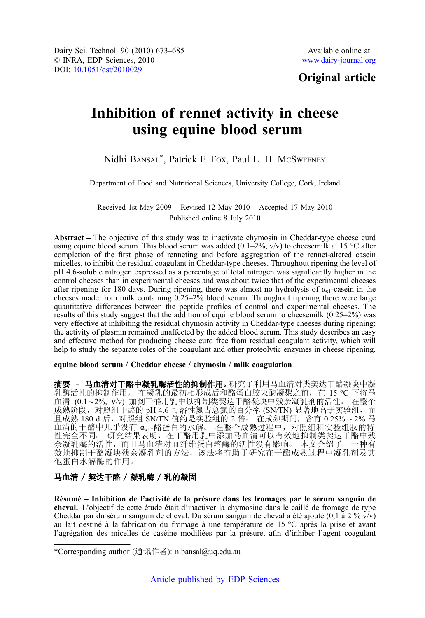# Original article

# Inhibition of rennet activity in cheese using equine blood serum

# Nidhi BANSAL\*, Patrick F. FOX, Paul L. H. MCSWEENEY

Department of Food and Nutritional Sciences, University College, Cork, Ireland

Received 1st May 2009 – Revised 12 May 2010 – Accepted 17 May 2010 Published online 8 July 2010

Abstract – The objective of this study was to inactivate chymosin in Cheddar-type cheese curd using equine blood serum. This blood serum was added  $(0.1–2\%, v/v)$  to cheesemilk at 15 °C after completion of the first phase of renneting and before aggregation of the rennet-altered casein micelles, to inhibit the residual coagulant in Cheddar-type cheeses. Throughout ripening the level of pH 4.6-soluble nitrogen expressed as a percentage of total nitrogen was significantly higher in the control cheeses than in experimental cheeses and was about twice that of the experimental cheeses after ripening for 180 days. During ripening, there was almost no hydrolysis of  $\alpha_{s1}$ -casein in the cheeses made from milk containing 0.25–2% blood serum. Throughout ripening there were large quantitative differences between the peptide profiles of control and experimental cheeses. The results of this study suggest that the addition of equine blood serum to cheesemilk (0.25–2%) was very effective at inhibiting the residual chymosin activity in Cheddar-type cheeses during ripening; the activity of plasmin remained unaffected by the added blood serum. This study describes an easy and effective method for producing cheese curd free from residual coagulant activity, which will help to study the separate roles of the coagulant and other proteolytic enzymes in cheese ripening.

equine blood serum / Cheddar cheese / chymosin / milk coagulation

摘要 - 马血清对干酪中凝乳酶活性的抑制作用。研究了利用马血清对类契达干酪凝块中凝 乳酶活性的抑制作用。在凝乳的最初相形成后和酪蛋白胶束酶凝聚之前, 在 15 ℃ 下将马 血清 (0.1~2%, v/v) 加到干酪用乳中以抑制类契达干酪凝块中残余凝乳剂的活性。 在整个 成熟阶段, 对照组干酪的 pH 4.6 可溶性氮占总氮的百分率 (SN/TN) 显著地高于实验组, 而 且成熟 180 d 后, 对照组 SN/TN 值约是实验组的 2 倍。 在成熟期间, 含有 0.25% ~ 2% 马 血清的干酪中几乎没有 αs1-酪蛋白的水解。 在整个成熟过程中, 对照组和实验组肽的特 性完全不同。 研究结果表明,在干酪用乳中添加马血清可以有效地抑制类契达干酪中残 余凝乳酶的活性,而且马血清对血纤维蛋白溶酶的活性没有影响○ 本文介绍了 一种有 效地抑制干酪凝块残余凝乳剂的方法,该法将有助于研究在干酪成熟过程中凝乳剂及其 他蛋白水解酶的作用○

# 马血清 / 契达干酪 / 凝乳酶 / 乳的凝固

Résumé – Inhibition de l'activité de la présure dans les fromages par le sérum sanguin de cheval. L'objectif de cette étude était d'inactiver la chymosine dans le caillé de fromage de type Cheddar par du sérum sanguin de cheval. Du sérum sanguin de cheval a été ajouté (0,1 à 2 % v/v) au lait destiné à la fabrication du fromage à une température de 15 °C après la prise et avant l'agrégation des micelles de caséine modifiées par la présure, afin d'inhiber l'agent coagulant

<sup>\*</sup>Corresponding author (通讯作者): n.bansal@uq.edu.au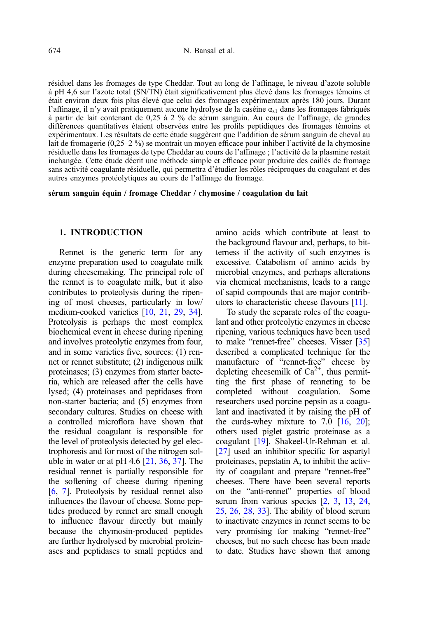résiduel dans les fromages de type Cheddar. Tout au long de l'affinage, le niveau d'azote soluble à pH 4,6 sur l'azote total (SN/TN) était significativement plus élevé dans les fromages témoins et était environ deux fois plus élevé que celui des fromages expérimentaux après 180 jours. Durant l'affinage, il n'y avait pratiquement aucune hydrolyse de la caséine  $\alpha_{s1}$  dans les fromages fabriqués à partir de lait contenant de 0,25 à 2 % de sérum sanguin. Au cours de l'affinage, de grandes différences quantitatives étaient observées entre les profils peptidiques des fromages témoins et expérimentaux. Les résultats de cette étude suggèrent que l'addition de sérum sanguin de cheval au lait de fromagerie (0,25–2 %) se montrait un moyen efficace pour inhiber l'activité de la chymosine résiduelle dans les fromages de type Cheddar au cours de l'affinage ; l'activité de la plasmine restait inchangée. Cette étude décrit une méthode simple et efficace pour produire des caillés de fromage sans activité coagulante résiduelle, qui permettra d'étudier les rôles réciproques du coagulant et des autres enzymes protéolytiques au cours de l'affinage du fromage.

sérum sanguin équin / fromage Cheddar / chymosine / coagulation du lait

# 1. INTRODUCTION

Rennet is the generic term for any enzyme preparation used to coagulate milk during cheesemaking. The principal role of the rennet is to coagulate milk, but it also contributes to proteolysis during the ripening of most cheeses, particularly in low/ medium-cooked varieties [\[10](#page-11-0), [21](#page-11-0), [29,](#page-12-0) [34\]](#page-12-0). Proteolysis is perhaps the most complex biochemical event in cheese during ripening and involves proteolytic enzymes from four, and in some varieties five, sources: (1) rennet or rennet substitute; (2) indigenous milk proteinases; (3) enzymes from starter bacteria, which are released after the cells have lysed; (4) proteinases and peptidases from non-starter bacteria; and (5) enzymes from secondary cultures. Studies on cheese with a controlled microflora have shown that the residual coagulant is responsible for the level of proteolysis detected by gel electrophoresis and for most of the nitrogen soluble in water or at pH 4.6  $[21, 36, 37]$  $[21, 36, 37]$  $[21, 36, 37]$  $[21, 36, 37]$  $[21, 36, 37]$ . The residual rennet is partially responsible for the softening of cheese during ripening [\[6](#page-11-0), [7](#page-11-0)]. Proteolysis by residual rennet also influences the flavour of cheese. Some peptides produced by rennet are small enough to influence flavour directly but mainly because the chymosin-produced peptides are further hydrolysed by microbial proteinases and peptidases to small peptides and amino acids which contribute at least to the background flavour and, perhaps, to bitterness if the activity of such enzymes is excessive. Catabolism of amino acids by microbial enzymes, and perhaps alterations via chemical mechanisms, leads to a range of sapid compounds that are major contributors to characteristic cheese flavours [\[11\]](#page-11-0).

To study the separate roles of the coagulant and other proteolytic enzymes in cheese ripening, various techniques have been used to make "rennet-free" cheeses. Visser [[35](#page-12-0)] described a complicated technique for the manufacture of "rennet-free" cheese by depleting cheesemilk of  $Ca^{2+}$ , thus permitting the first phase of renneting to be completed without coagulation. Some researchers used porcine pepsin as a coagulant and inactivated it by raising the pH of the curds-whey mixture to 7.0  $[16, 20]$  $[16, 20]$  $[16, 20]$ ; others used piglet gastric proteinase as a coagulant [[19](#page-11-0)]. Shakeel-Ur-Rehman et al. [[27](#page-12-0)] used an inhibitor specific for aspartyl proteinases, pepstatin A, to inhibit the activity of coagulant and prepare "rennet-free" cheeses. There have been several reports on the "anti-rennet" properties of blood serum from various species  $[2, 3, 13, 24,$  $[2, 3, 13, 24,$  $[2, 3, 13, 24,$  $[2, 3, 13, 24,$  $[2, 3, 13, 24,$  $[2, 3, 13, 24,$  $[2, 3, 13, 24,$  $[2, 3, 13, 24,$  $[2, 3, 13, 24,$ [25](#page-11-0), [26,](#page-12-0) [28,](#page-12-0) [33](#page-12-0)]. The ability of blood serum to inactivate enzymes in rennet seems to be very promising for making "rennet-free" cheeses, but no such cheese has been made to date. Studies have shown that among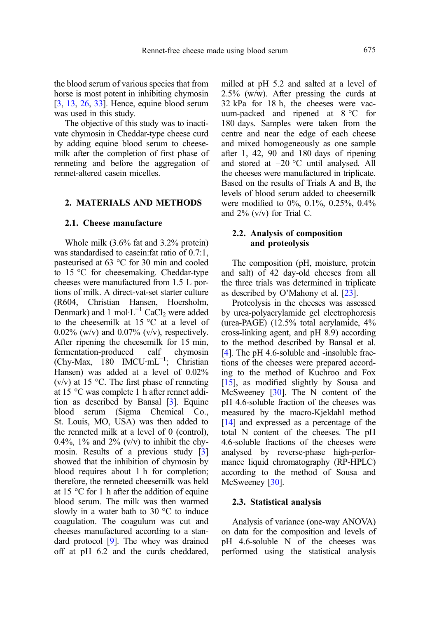the blood serum of various species that from horse is most potent in inhibiting chymosin [[3](#page-11-0), [13,](#page-11-0) [26](#page-12-0), [33](#page-12-0)]. Hence, equine blood serum was used in this study.

The objective of this study was to inactivate chymosin in Cheddar-type cheese curd by adding equine blood serum to cheesemilk after the completion of first phase of renneting and before the aggregation of rennet-altered casein micelles.

## 2. MATERIALS AND METHODS

# 2.1. Cheese manufacture

Whole milk (3.6% fat and 3.2% protein) was standardised to casein:fat ratio of 0.7:1, pasteurised at 63 °C for 30 min and cooled to 15 °C for cheesemaking. Cheddar-type cheeses were manufactured from 1.5 L portions of milk. A direct-vat-set starter culture (R604, Christian Hansen, Hoersholm, Denmark) and 1 mol⋅ $L^{-1}$  CaCl<sub>2</sub> were added to the cheesemilk at 15 °C at a level of  $0.02\%$  (w/v) and  $0.07\%$  (v/v), respectively. After ripening the cheesemilk for 15 min, fermentation-produced calf chymosin (Chy-Max, 180 IMCU·mL−<sup>1</sup> ; Christian Hansen) was added at a level of 0.02%  $(v/v)$  at 15 °C. The first phase of renneting at 15 °C was complete 1 h after rennet addition as described by Bansal [\[3](#page-11-0)]. Equine blood serum (Sigma Chemical Co., St. Louis, MO, USA) was then added to the renneted milk at a level of 0 (control), 0.4%, 1% and 2% ( $v/v$ ) to inhibit the chymosin. Results of a previous study [\[3](#page-11-0)] showed that the inhibition of chymosin by blood requires about 1 h for completion; therefore, the renneted cheesemilk was held at 15 °C for 1 h after the addition of equine blood serum. The milk was then warmed slowly in a water bath to 30 °C to induce coagulation. The coagulum was cut and cheeses manufactured according to a standard protocol [[9\]](#page-11-0). The whey was drained off at pH 6.2 and the curds cheddared, milled at pH 5.2 and salted at a level of 2.5% (w/w). After pressing the curds at 32 kPa for 18 h, the cheeses were vacuum-packed and ripened at 8 °C for 180 days. Samples were taken from the centre and near the edge of each cheese and mixed homogeneously as one sample after 1, 42, 90 and 180 days of ripening and stored at −20 °C until analysed. All the cheeses were manufactured in triplicate. Based on the results of Trials A and B, the levels of blood serum added to cheesemilk were modified to 0%, 0.1%, 0.25%, 0.4% and  $2\%$  (v/v) for Trial C.

# 2.2. Analysis of composition and proteolysis

The composition (pH, moisture, protein and salt) of 42 day-old cheeses from all the three trials was determined in triplicate as described by O'Mahony et al. [\[23](#page-11-0)].

Proteolysis in the cheeses was assessed by urea-polyacrylamide gel electrophoresis (urea-PAGE) (12.5% total acrylamide, 4% cross-linking agent, and pH 8.9) according to the method described by Bansal et al. [[4\]](#page-11-0). The pH 4.6-soluble and -insoluble fractions of the cheeses were prepared according to the method of Kuchroo and Fox [[15\]](#page-11-0), as modified slightly by Sousa and McSweeney [\[30\]](#page-12-0). The N content of the pH 4.6-soluble fraction of the cheeses was measured by the macro-Kjeldahl method [[14\]](#page-11-0) and expressed as a percentage of the total N content of the cheeses. The pH 4.6-soluble fractions of the cheeses were analysed by reverse-phase high-performance liquid chromatography (RP-HPLC) according to the method of Sousa and McSweeney [\[30\]](#page-12-0).

#### 2.3. Statistical analysis

Analysis of variance (one-way ANOVA) on data for the composition and levels of pH 4.6-soluble N of the cheeses was performed using the statistical analysis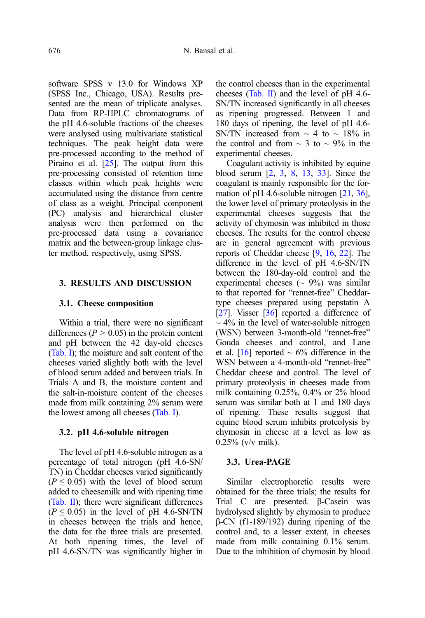software SPSS v 13.0 for Windows XP (SPSS Inc., Chicago, USA). Results presented are the mean of triplicate analyses. Data from RP-HPLC chromatograms of the pH 4.6-soluble fractions of the cheeses were analysed using multivariate statistical techniques. The peak height data were pre-processed according to the method of Piraino et al. [\[25](#page-11-0)]. The output from this pre-processing consisted of retention time classes within which peak heights were accumulated using the distance from centre of class as a weight. Principal component (PC) analysis and hierarchical cluster analysis were then performed on the pre-processed data using a covariance matrix and the between-group linkage cluster method, respectively, using SPSS.

# 3. RESULTS AND DISCUSSION

#### 3.1. Cheese composition

Within a trial, there were no significant differences ( $P > 0.05$ ) in the protein content and pH between the 42 day-old cheeses [\(Tab. I\)](#page-4-0); the moisture and salt content of the cheeses varied slightly both with the level of blood serum added and between trials. In Trials A and B, the moisture content and the salt-in-moisture content of the cheeses made from milk containing 2% serum were the lowest among all cheeses ([Tab. I](#page-4-0)).

#### 3.2. pH 4.6-soluble nitrogen

The level of pH 4.6-soluble nitrogen as a percentage of total nitrogen (pH 4.6-SN/ TN) in Cheddar cheeses varied significantly  $(P \le 0.05)$  with the level of blood serum added to cheesemilk and with ripening time [\(Tab. II](#page-5-0)); there were significant differences  $(P \le 0.05)$  in the level of pH 4.6-SN/TN in cheeses between the trials and hence, the data for the three trials are presented. At both ripening times, the level of pH 4.6-SN/TN was significantly higher in the control cheeses than in the experimental cheeses [\(Tab. II\)](#page-5-0) and the level of pH 4.6- SN/TN increased significantly in all cheeses as ripening progressed. Between 1 and 180 days of ripening, the level of pH 4.6- SN/TN increased from  $\sim$  4 to  $\sim$  18% in the control and from  $\sim$  3 to  $\sim$  9% in the experimental cheeses.

Coagulant activity is inhibited by equine blood serum [\[2,](#page-10-0) [3](#page-11-0), [8](#page-11-0), [13](#page-11-0), [33](#page-12-0)]. Since the coagulant is mainly responsible for the for-mation of pH 4.6-soluble nitrogen [\[21,](#page-11-0) [36](#page-12-0)], the lower level of primary proteolysis in the experimental cheeses suggests that the activity of chymosin was inhibited in those cheeses. The results for the control cheese are in general agreement with previous reports of Cheddar cheese [\[9](#page-11-0), [16,](#page-11-0) [22](#page-11-0)]. The difference in the level of pH 4.6-SN/TN between the 180-day-old control and the experimental cheeses ( $\sim$  9%) was similar to that reported for "rennet-free" Cheddartype cheeses prepared using pepstatin A [[27](#page-12-0)]. Visser [[36](#page-12-0)] reported a difference of  $\sim$  4% in the level of water-soluble nitrogen (WSN) between 3-month-old "rennet-free" Gouda cheeses and control, and Lane et al. [\[16\]](#page-11-0) reported  $\sim$  6% difference in the WSN between a 4-month-old "rennet-free" Cheddar cheese and control. The level of primary proteolysis in cheeses made from milk containing 0.25%, 0.4% or 2% blood serum was similar both at 1 and 180 days of ripening. These results suggest that equine blood serum inhibits proteolysis by chymosin in cheese at a level as low as  $0.25\%$  (v/v milk).

## 3.3. Urea-PAGE

Similar electrophoretic results were obtained for the three trials; the results for Trial C are presented. β-Casein was hydrolysed slightly by chymosin to produce β-CN (f1-189/192) during ripening of the control and, to a lesser extent, in cheeses made from milk containing 0.1% serum. Due to the inhibition of chymosin by blood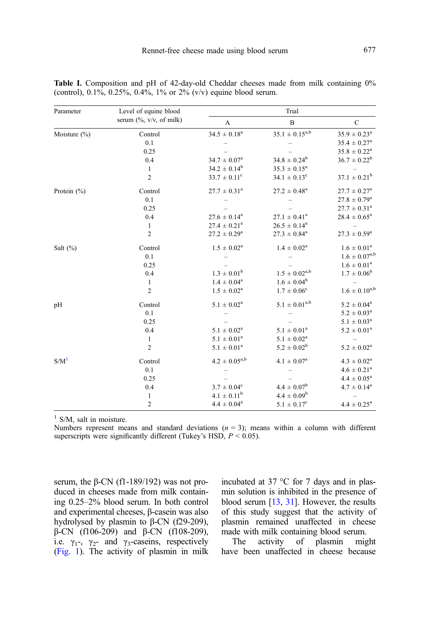| Parameter        | Level of equine blood<br>serum $(\%$ , v/v, of milk) | Trial                    |                         |                            |
|------------------|------------------------------------------------------|--------------------------|-------------------------|----------------------------|
|                  |                                                      | A                        | $\bf{B}$                | $\mathcal{C}$              |
| Moisture (%)     | Control                                              | $34.5 \pm 0.18^a$        | $35.1 \pm 0.15^{a,b}$   | $35.9 \pm 0.23^{\text{a}}$ |
|                  | 0.1                                                  |                          |                         | $35.4 \pm 0.27^{\rm a}$    |
|                  | 0.25                                                 |                          |                         | $35.8 \pm 0.22^a$          |
|                  | 0.4                                                  | $34.7 \pm 0.07^{\rm a}$  | $34.8 \pm 0.24^b$       | $36.7 \pm 0.22^b$          |
|                  | 1                                                    | $34.2 \pm 0.14^b$        | $35.3 \pm 0.15^a$       |                            |
|                  | $\overline{c}$                                       | $33.7 \pm 0.11^c$        | $34.1 \pm 0.13^c$       | $37.1 \pm 0.21^{\rm b}$    |
| Protein $(\% )$  | Control                                              | $27.7 \pm 0.31^a$        | $27.2 \pm 0.48^a$       | $27.7 \pm 0.27^{\rm a}$    |
|                  | 0.1                                                  |                          |                         | $27.8 \pm 0.79^{\rm a}$    |
|                  | 0.25                                                 |                          |                         | $27.7 \pm 0.31^a$          |
|                  | 0.4                                                  | $27.6 \pm 0.14^a$        | $27.1 \pm 0.41^a$       | $28.4\,\pm\,0.65^{\rm a}$  |
|                  | $\mathbf{1}$                                         | $27.4 \pm 0.21^a$        | $26.5 \pm 0.14^a$       |                            |
|                  | $\overline{c}$                                       | $27.2 \pm 0.29^{\rm a}$  | $27.3 \pm 0.84^{\rm a}$ | $27.3 \pm 0.59^{\rm a}$    |
| Salt $(\%)$      | Control                                              | $1.5 \pm 0.02^a$         | $1.4 \pm 0.02^a$        | $1.6 \pm 0.01^a$           |
|                  | 0.1                                                  |                          |                         | $1.6 \pm 0.07^{a,b}$       |
|                  | 0.25                                                 |                          |                         | $1.6 \pm 0.01^a$           |
|                  | 0.4                                                  | $1.3 \pm 0.01^{\rm b}$   | $1.5 \pm 0.02^{a,b}$    | $1.7 \pm 0.06^{\rm b}$     |
|                  | $\mathbf{1}$                                         | $1.4 \pm 0.04^{\rm a}$   | $1.6 \pm 0.04^b$        |                            |
|                  | $\overline{c}$                                       | $1.5 \pm 0.02^a$         | $1.7\,\pm\,0.06^c$      | $1.6 \pm 0.10^{a,b}$       |
| pH               | Control                                              | $5.1 \pm 0.02^a$         | $5.1 \pm 0.01^{a,b}$    | $5.2 \pm 0.04^a$           |
|                  | 0.1                                                  |                          |                         | $5.2 \pm 0.03^a$           |
|                  | 0.25                                                 |                          |                         | $5.1\,\pm\,0.03^{\rm a}$   |
|                  | 0.4                                                  | $5.1 \pm 0.02^a$         | $5.1 \pm 0.01^a$        | $5.2 \pm 0.01^a$           |
|                  | 1                                                    | $5.1 \pm 0.01^a$         | $5.1 \pm 0.02^a$        |                            |
|                  | $\overline{2}$                                       | $5.1 \pm 0.01^a$         | $5.2 \pm 0.02^b$        | $5.2 \pm 0.02^a$           |
| S/M <sup>1</sup> | Control                                              | $4.2 \pm 0.05^{a,b}$     | $4.1 \pm 0.07^{\rm a}$  | $4.3 \pm 0.02^{\text{a}}$  |
|                  | 0.1                                                  |                          |                         | $4.6 \pm 0.21^a$           |
|                  | 0.25                                                 |                          |                         | $4.4 \pm 0.05^a$           |
|                  | 0.4                                                  | $3.7\,\pm\,0.04^{\rm c}$ | $4.4\,\pm\,0.07^b$      | $4.7 \pm 0.14^a$           |
|                  | $\mathbf{1}$                                         | $4.1 \pm 0.11^b$         | $4.4 \pm 0.09^b$        |                            |
|                  | $\mathbf{2}$                                         | $4.4 \pm 0.04^a$         | $5.1 \pm 0.17^c$        | $4.4 \pm 0.25^{\circ}$     |

<span id="page-4-0"></span>Table I. Composition and pH of 42-day-old Cheddar cheeses made from milk containing 0% (control),  $0.1\%$ ,  $0.25\%$ ,  $0.4\%$ ,  $1\%$  or  $2\%$  (v/v) equine blood serum.

 $1$  S/M, salt in moisture.

Numbers represent means and standard deviations  $(n = 3)$ ; means within a column with different superscripts were significantly different (Tukey's HSD,  $P \le 0.05$ ).

serum, the β-CN (f1-189/192) was not produced in cheeses made from milk containing 0.25–2% blood serum. In both control and experimental cheeses, β-casein was also hydrolysed by plasmin to β-CN (f29-209), β-CN (f106-209) and β-CN (f108-209), i.e.  $\gamma_1$ -,  $\gamma_2$ - and  $\gamma_3$ -caseins, respectively ([Fig. 1\)](#page-5-0). The activity of plasmin in milk incubated at 37 °C for 7 days and in plasmin solution is inhibited in the presence of blood serum [\[13,](#page-11-0) [31](#page-12-0)]. However, the results of this study suggest that the activity of plasmin remained unaffected in cheese

made with milk containing blood serum.<br>The activity of plasmin mig The activity of plasmin might have been unaffected in cheese because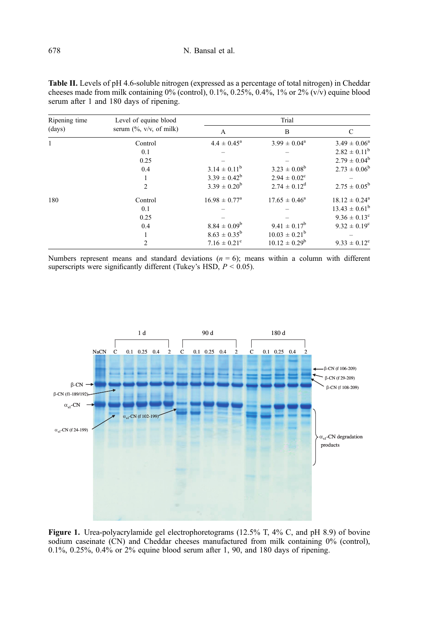| Ripening time<br>(days) | Level of equine blood<br>serum $(\%$ , v/v, of milk) | Trial                    |                          |                         |
|-------------------------|------------------------------------------------------|--------------------------|--------------------------|-------------------------|
|                         |                                                      | A                        | B                        | C                       |
| 1                       | Control                                              | $4.4 \pm 0.45^{\circ}$   | $3.99 \pm 0.04^{\circ}$  | $3.49 \pm 0.06^a$       |
|                         | 0.1                                                  |                          |                          | $2.82 \pm 0.11^{\rm b}$ |
|                         | 0.25                                                 |                          |                          | $2.79 \pm 0.04^b$       |
|                         | 0.4                                                  | $3.14 \pm 0.11^b$        | $3.23 \pm 0.08^{\rm b}$  | $2.73 \pm 0.06^b$       |
|                         |                                                      | $3.39 \pm 0.42^b$        | $2.94 \pm 0.02^{\circ}$  |                         |
|                         | $\overline{2}$                                       | $3.39 \pm 0.20^b$        | $2.74 \pm 0.12^{\rm d}$  | $2.75 \pm 0.05^{\rm b}$ |
| 180                     | Control                                              | $16.98 \pm 0.77^{\circ}$ | $17.65 \pm 0.46^a$       | $18.12 \pm 0.24^a$      |
|                         | 0.1                                                  |                          |                          | $13.43 \pm 0.61^b$      |
|                         | 0.25                                                 |                          |                          | $9.36 \pm 0.13^c$       |
|                         | 0.4                                                  | $8.84 \pm 0.09^{\rm b}$  | $9.41 \pm 0.17^b$        | $9.32 \pm 0.19^{\circ}$ |
|                         |                                                      | $8.63 \pm 0.35^{\rm b}$  | $10.03 \pm 0.21^{\rm b}$ |                         |
|                         | $\overline{2}$                                       | $7.16 \pm 0.21^{\circ}$  | $10.12 \pm 0.29^{\rm b}$ | $9.33 \pm 0.12^{\circ}$ |

<span id="page-5-0"></span>Table II. Levels of pH 4.6-soluble nitrogen (expressed as a percentage of total nitrogen) in Cheddar cheeses made from milk containing  $0\%$  (control), 0.1%, 0.25%, 0.4%, 1% or 2% (v/v) equine blood serum after 1 and 180 days of ripening.

Numbers represent means and standard deviations  $(n = 6)$ ; means within a column with different superscripts were significantly different (Tukey's HSD,  $P \le 0.05$ ).



Figure 1. Urea-polyacrylamide gel electrophoretograms (12.5% T, 4% C, and pH 8.9) of bovine sodium caseinate (CN) and Cheddar cheeses manufactured from milk containing 0% (control), 0.1%, 0.25%, 0.4% or 2% equine blood serum after 1, 90, and 180 days of ripening.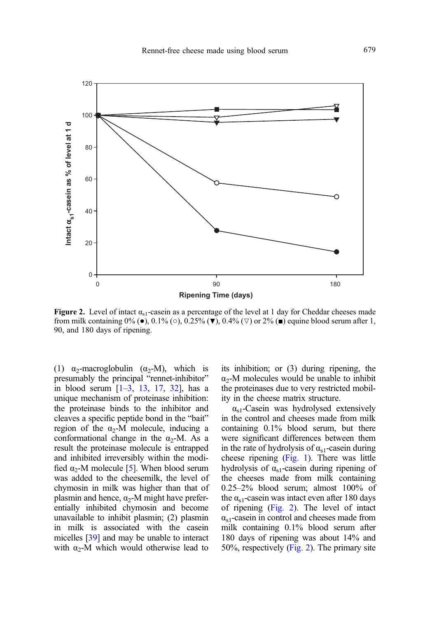

**Figure 2.** Level of intact  $\alpha_{s1}$ -casein as a percentage of the level at 1 day for Cheddar cheeses made from milk containing  $0\%$  ( $\bullet$ ),  $0.1\%$  ( $\circ$ ),  $0.25\%$  ( $\blacktriangledown$ ),  $0.4\%$  ( $\triangledown$ ) or  $2\%$  ( $\blacksquare$ ) equine blood serum after 1, 90, and 180 days of ripening.

(1)  $\alpha_2$ -macroglobulin ( $\alpha_2$ -M), which is presumably the principal "rennet-inhibitor" in blood serum  $[1-3, 13, 17, 32]$  $[1-3, 13, 17, 32]$  $[1-3, 13, 17, 32]$  $[1-3, 13, 17, 32]$  $[1-3, 13, 17, 32]$  $[1-3, 13, 17, 32]$  $[1-3, 13, 17, 32]$  $[1-3, 13, 17, 32]$  $[1-3, 13, 17, 32]$  $[1-3, 13, 17, 32]$ , has a unique mechanism of proteinase inhibition: the proteinase binds to the inhibitor and cleaves a specific peptide bond in the "bait" region of the  $\alpha_2$ -M molecule, inducing a conformational change in the  $\alpha_2$ -M. As a result the proteinase molecule is entrapped and inhibited irreversibly within the modified  $\alpha_2$ -M molecule [[5](#page-11-0)]. When blood serum was added to the cheesemilk, the level of chymosin in milk was higher than that of plasmin and hence,  $\alpha_2$ -M might have preferentially inhibited chymosin and become unavailable to inhibit plasmin; (2) plasmin in milk is associated with the casein micelles [\[39](#page-12-0)] and may be unable to interact with  $\alpha_2$ -M which would otherwise lead to its inhibition; or (3) during ripening, the  $\alpha_2$ -M molecules would be unable to inhibit the proteinases due to very restricted mobility in the cheese matrix structure.

 $\alpha_{s1}$ -Casein was hydrolysed extensively in the control and cheeses made from milk containing 0.1% blood serum, but there were significant differences between them in the rate of hydrolysis of  $\alpha_{s1}$ -casein during cheese ripening [\(Fig. 1](#page-5-0)). There was little hydrolysis of  $\alpha_{s1}$ -casein during ripening of the cheeses made from milk containing 0.25–2% blood serum; almost 100% of the  $\alpha_{s1}$ -casein was intact even after 180 days of ripening (Fig. 2). The level of intact  $\alpha_{s1}$ -casein in control and cheeses made from milk containing 0.1% blood serum after 180 days of ripening was about 14% and 50%, respectively (Fig. 2). The primary site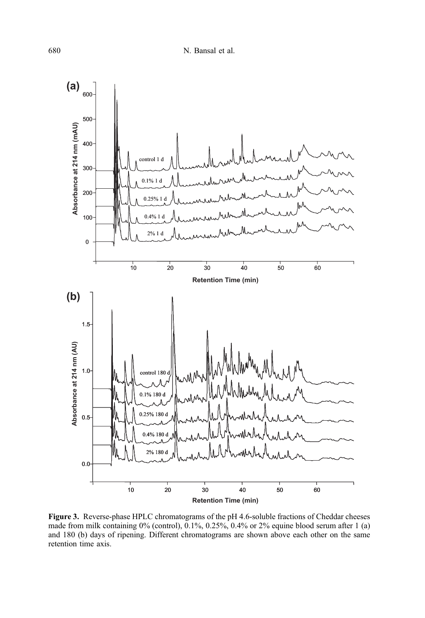<span id="page-7-0"></span>

Figure 3. Reverse-phase HPLC chromatograms of the pH 4.6-soluble fractions of Cheddar cheeses made from milk containing 0% (control), 0.1%, 0.25%, 0.4% or 2% equine blood serum after 1 (a) and 180 (b) days of ripening. Different chromatograms are shown above each other on the same retention time axis.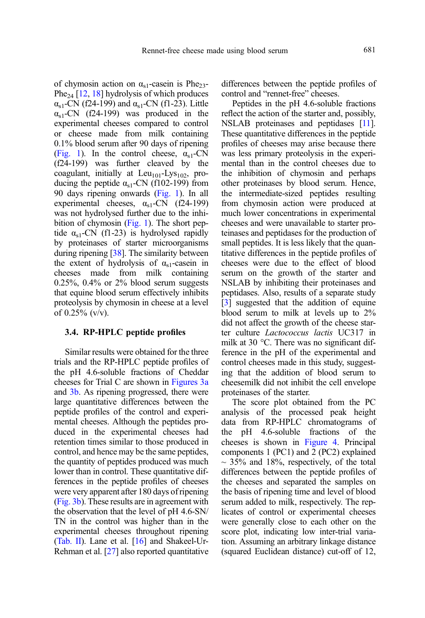of chymosin action on  $\alpha_{s1}$ -casein is Phe<sub>23</sub>-Phe<sub>24</sub> [[12](#page-11-0), [18\]](#page-11-0) hydrolysis of which produces  $\alpha_{s1}$ -CN (f24-199) and  $\alpha_{s1}$ -CN (f1-23). Little  $\alpha_{s1}$ -CN (f24-199) was produced in the experimental cheeses compared to control or cheese made from milk containing 0.1% blood serum after 90 days of ripening ([Fig. 1](#page-5-0)). In the control cheese,  $\alpha_{s1}$ -CN (f24-199) was further cleaved by the coagulant, initially at  $Leu_{101}$ -Lys<sub>102</sub>, producing the peptide  $\alpha_{s1}$ -CN (f102-199) from 90 days ripening onwards [\(Fig. 1](#page-5-0)). In all experimental cheeses,  $\alpha_{s1}$ -CN (f24-199) was not hydrolysed further due to the inhibition of chymosin [\(Fig. 1](#page-5-0)). The short peptide  $\alpha_{s1}$ -CN (f1-23) is hydrolysed rapidly by proteinases of starter microorganisms during ripening [\[38\]](#page-12-0). The similarity between the extent of hydrolysis of  $\alpha_{s1}$ -casein in cheeses made from milk containing  $0.25\%$ ,  $0.4\%$  or  $2\%$  blood serum suggests that equine blood serum effectively inhibits proteolysis by chymosin in cheese at a level of  $0.25\%$  (v/v).

#### 3.4. RP-HPLC peptide profiles

Similar results were obtained for the three trials and the RP-HPLC peptide profiles of the pH 4.6-soluble fractions of Cheddar cheeses for Trial C are shown in [Figures 3a](#page-7-0) and [3b.](#page-7-0) As ripening progressed, there were large quantitative differences between the peptide profiles of the control and experimental cheeses. Although the peptides produced in the experimental cheeses had retention times similar to those produced in control, and hence may be the same peptides, the quantity of peptides produced was much lower than in control. These quantitative differences in the peptide profiles of cheeses were very apparent after 180 days of ripening ([Fig. 3b](#page-7-0)). These results are in agreement with the observation that the level of pH 4.6-SN/ TN in the control was higher than in the experimental cheeses throughout ripening ([Tab. II](#page-5-0)). Lane et al. [[16](#page-11-0)] and Shakeel-Ur-Rehman et al. [[27](#page-12-0)] also reported quantitative differences between the peptide profiles of control and "rennet-free" cheeses.

Peptides in the pH 4.6-soluble fractions reflect the action of the starter and, possibly, NSLAB proteinases and peptidases [\[11](#page-11-0)]. These quantitative differences in the peptide profiles of cheeses may arise because there was less primary proteolysis in the experimental than in the control cheeses due to the inhibition of chymosin and perhaps other proteinases by blood serum. Hence, the intermediate-sized peptides resulting from chymosin action were produced at much lower concentrations in experimental cheeses and were unavailable to starter proteinases and peptidases for the production of small peptides. It is less likely that the quantitative differences in the peptide profiles of cheeses were due to the effect of blood serum on the growth of the starter and NSLAB by inhibiting their proteinases and peptidases. Also, results of a separate study [[3\]](#page-11-0) suggested that the addition of equine blood serum to milk at levels up to 2% did not affect the growth of the cheese starter culture Lactococcus lactis UC317 in milk at 30 °C. There was no significant difference in the pH of the experimental and control cheeses made in this study, suggesting that the addition of blood serum to cheesemilk did not inhibit the cell envelope proteinases of the starter.

The score plot obtained from the PC analysis of the processed peak height data from RP-HPLC chromatograms of the pH 4.6-soluble fractions of the cheeses is shown in [Figure 4](#page-9-0). Principal components 1 (PC1) and 2 (PC2) explained  $\sim$  35% and 18%, respectively, of the total differences between the peptide profiles of the cheeses and separated the samples on the basis of ripening time and level of blood serum added to milk, respectively. The replicates of control or experimental cheeses were generally close to each other on the score plot, indicating low inter-trial variation. Assuming an arbitrary linkage distance (squared Euclidean distance) cut-off of 12,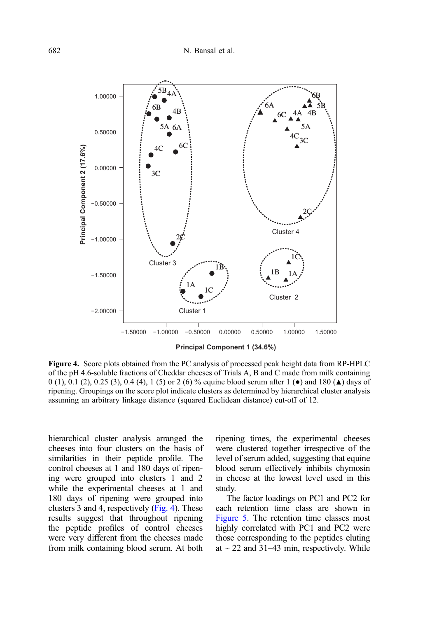<span id="page-9-0"></span>

**Principal Component 1 (34.6%)**

Figure 4. Score plots obtained from the PC analysis of processed peak height data from RP-HPLC of the pH 4.6-soluble fractions of Cheddar cheeses of Trials A, B and C made from milk containing 0 (1), 0.1 (2), 0.25 (3), 0.4 (4), 1 (5) or 2 (6) % equine blood serum after 1 ( $\bullet$ ) and 180 ( $\blacktriangle$ ) days of ripening. Groupings on the score plot indicate clusters as determined by hierarchical cluster analysis assuming an arbitrary linkage distance (squared Euclidean distance) cut-off of 12.

hierarchical cluster analysis arranged the cheeses into four clusters on the basis of similarities in their peptide profile. The control cheeses at 1 and 180 days of ripening were grouped into clusters 1 and 2 while the experimental cheeses at 1 and 180 days of ripening were grouped into clusters 3 and 4, respectively (Fig. 4). These results suggest that throughout ripening the peptide profiles of control cheeses were very different from the cheeses made from milk containing blood serum. At both ripening times, the experimental cheeses were clustered together irrespective of the level of serum added, suggesting that equine blood serum effectively inhibits chymosin in cheese at the lowest level used in this study.

The factor loadings on PC1 and PC2 for each retention time class are shown in [Figure 5.](#page-10-0) The retention time classes most highly correlated with PC1 and PC2 were those corresponding to the peptides eluting at  $\sim$  22 and 31–43 min, respectively. While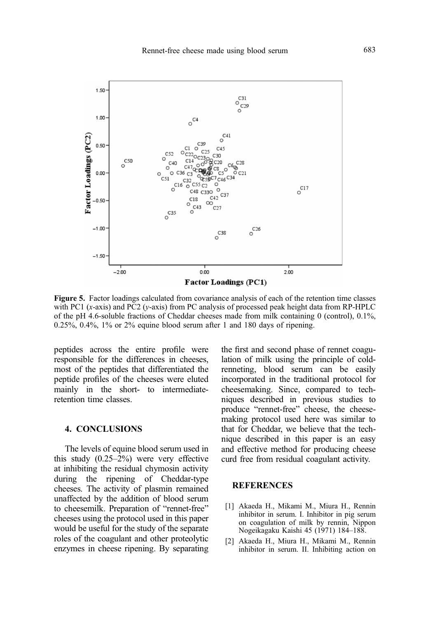<span id="page-10-0"></span>

Figure 5. Factor loadings calculated from covariance analysis of each of the retention time classes with PC1  $(x-axis)$  and PC2  $(y-axis)$  from PC analysis of processed peak height data from RP-HPLC of the pH 4.6-soluble fractions of Cheddar cheeses made from milk containing 0 (control), 0.1%, 0.25%, 0.4%, 1% or 2% equine blood serum after 1 and 180 days of ripening.

peptides across the entire profile were responsible for the differences in cheeses, most of the peptides that differentiated the peptide profiles of the cheeses were eluted mainly in the short- to intermediateretention time classes.

## 4. CONCLUSIONS

The levels of equine blood serum used in this study (0.25–2%) were very effective at inhibiting the residual chymosin activity during the ripening of Cheddar-type cheeses. The activity of plasmin remained unaffected by the addition of blood serum to cheesemilk. Preparation of "rennet-free" cheeses using the protocol used in this paper would be useful for the study of the separate roles of the coagulant and other proteolytic enzymes in cheese ripening. By separating the first and second phase of rennet coagulation of milk using the principle of coldrenneting, blood serum can be easily incorporated in the traditional protocol for cheesemaking. Since, compared to techniques described in previous studies to produce "rennet-free" cheese, the cheesemaking protocol used here was similar to that for Cheddar, we believe that the technique described in this paper is an easy and effective method for producing cheese curd free from residual coagulant activity.

# **REFERENCES**

- [1] Akaeda H., Mikami M., Miura H., Rennin inhibitor in serum. I. Inhibitor in pig serum on coagulation of milk by rennin, Nippon Nogeikagaku Kaishi 45 (1971) 184–188.
- [2] Akaeda H., Miura H., Mikami M., Rennin inhibitor in serum. II. Inhibiting action on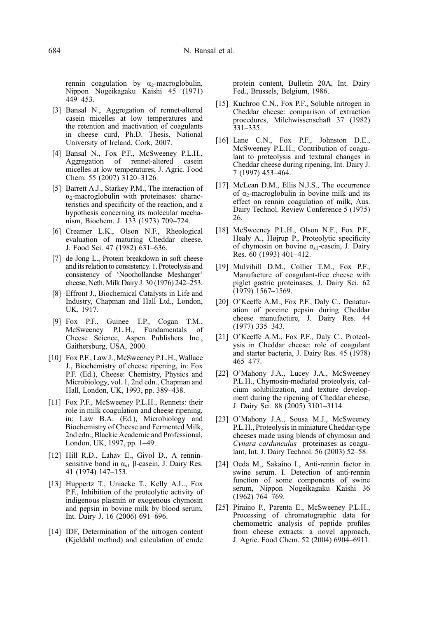<span id="page-11-0"></span>rennin coagulation by  $\alpha_2$ -macroglobulin, Nippon Nogeikagaku Kaishi 45 (1971) 449–453.

- [3] Bansal N., Aggregation of rennet-altered casein micelles at low temperatures and the retention and inactivation of coagulants in cheese curd, Ph.D. Thesis, National University of Ireland, Cork, 2007.
- [4] Bansal N., Fox P.F., McSweeney P.L.H., Aggregation of rennet-altered casein micelles at low temperatures, J. Agric. Food Chem. 55 (2007) 3120–3126.
- [5] Barrett A.J., Starkey P.M., The interaction of  $\alpha_2$ -macroglobulin with proteinases: characteristics and specificity of the reaction, and a hypothesis concerning its molecular mechanism, Biochem. J. 133 (1973) 709–724.
- [6] Creamer L.K., Olson N.F., Rheological evaluation of maturing Cheddar cheese, J. Food Sci. 47 (1982) 631–636.
- [7] de Jong L., Protein breakdown in soft cheese and its relation to consistency. 1. Proteolysis and consistency of 'Noorhollandse Meshanger' cheese, Neth. Milk Dairy J. 30 (1976) 242–253.
- [8] Effront J., Biochemical Catalysts in Life and Industry, Chapman and Hall Ltd., London, UK, 1917.
- [9] Fox P.F., Guinee T.P., Cogan T.M., McSweeney P.L.H., Fundamentals of Cheese Science, Aspen Publishers Inc., Gaithersburg, USA, 2000.
- [10] Fox P.F., Law J., McSweeney P.L.H., Wallace J., Biochemistry of cheese ripening, in: Fox P.F. (Ed.), Cheese: Chemistry, Physics and Microbiology, vol. 1, 2nd edn., Chapman and Hall, London, UK, 1993, pp. 389–438.
- [11] Fox P.F., McSweeney P.L.H., Rennets: their role in milk coagulation and cheese ripening, in: Law B.A. (Ed.), Microbiology and Biochemistry of Cheese and Fermented Milk, 2nd edn., Blackie Academic and Professional, London, UK, 1997, pp. 1–49.
- [12] Hill R.D., Lahav E., Givol D., A renninsensitive bond in  $\alpha_{s1}$  β-casein, J. Dairy Res. 41 (1974) 147–153.
- [13] Huppertz T., Uniacke T., Kelly A.L., Fox P.F., Inhibition of the proteolytic activity of indigenous plasmin or exogenous chymosin and pepsin in bovine milk by blood serum, Int. Dairy J. 16 (2006) 691–696.
- [14] IDF, Determination of the nitrogen content (Kjeldahl method) and calculation of crude

protein content, Bulletin 20A, Int. Dairy Fed., Brussels, Belgium, 1986.

- [15] Kuchroo C.N., Fox P.F., Soluble nitrogen in Cheddar cheese: comparison of extraction procedures, Milchwissenschaft 37 (1982) 331–335.
- [16] Lane C.N., Fox P.F., Johnston D.E., McSweeney P.L.H., Contribution of coagulant to proteolysis and textural changes in Cheddar cheese during ripening, Int. Dairy J. 7 (1997) 453–464.
- [17] McLean D.M., Ellis N.J.S., The occurrence of  $\alpha_2$ -macroglobulin in bovine milk and its effect on rennin coagulation of milk, Aus. Dairy Technol. Review Conference 5 (1975) 26.
- [18] McSweeney P.L.H., Olson N.F., Fox P.F., Healy A., Højrup P., Proteolytic specificity of chymosin on bovine  $\alpha_{s1}$ -casein, J. Dairy Res. 60 (1993) 401–412.
- [19] Mulvihill D.M., Collier T.M., Fox P.F., Manufacture of coagulant-free cheese with piglet gastric proteinases, J. Dairy Sci. 62  $(1979)$  1567–1569.
- [20] O'Keeffe A.M., Fox P.F., Daly C., Denaturation of porcine pepsin during Cheddar cheese manufacture, J. Dairy Res. 44 (1977) 335–343.
- [21] O'Keeffe A.M., Fox P.F., Daly C., Proteolysis in Cheddar cheese: role of coagulant and starter bacteria, J. Dairy Res. 45 (1978) 465–477.
- [22] O'Mahony J.A., Lucey J.A., McSweeney P.L.H., Chymosin-mediated proteolysis, calcium solubilization, and texture development during the ripening of Cheddar cheese, J. Dairy Sci. 88 (2005) 3101–3114.
- [23] O'Mahony J.A., Sousa M.J., McSweeney P.L.H., Proteolysis in miniature Cheddar-type cheeses made using blends of chymosin and Cynara cardunculus proteinases as coagulant, Int. J. Dairy Technol. 56 (2003) 52–58.
- [24] Oeda M., Sakaino I., Anti-rennin factor in swine serum. I. Detection of anti-rennin function of some components of swine serum, Nippon Nogeikagaku Kaishi 36 (1962) 764–769.
- [25] Piraino P., Parenta E., McSweeney P.L.H., Processing of chromatographic data for chemometric analysis of peptide profiles from cheese extracts: a novel approach, J. Agric. Food Chem. 52 (2004) 6904–6911.